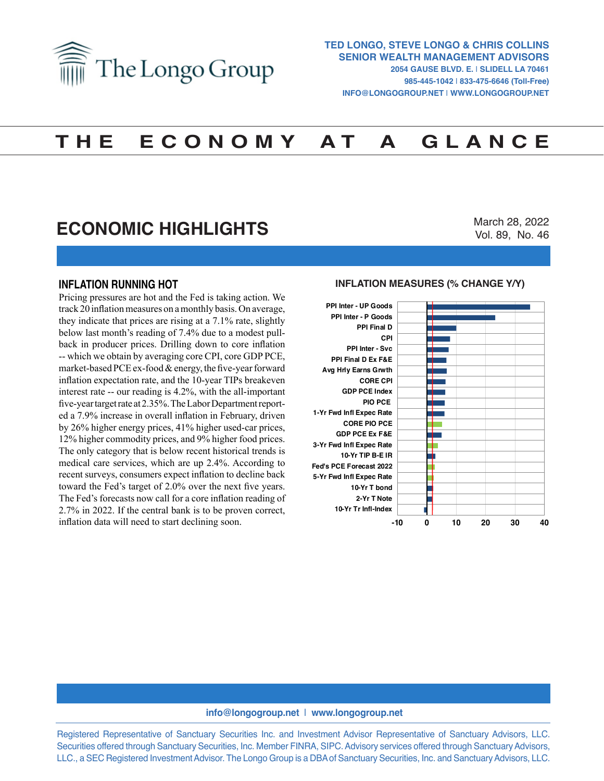

# **T H E E C O N O M Y A T A G L A N C E**

## **ECONOMIC HIGHLIGHTS**

March 28, 2022 Vol. 89, No. 46

### **INFLATION RUNNING HOT**

Pricing pressures are hot and the Fed is taking action. We track 20 inflation measures on a monthly basis. On average, they indicate that prices are rising at a 7.1% rate, slightly below last month's reading of 7.4% due to a modest pullback in producer prices. Drilling down to core inflation -- which we obtain by averaging core CPI, core GDP PCE, market-based PCE ex-food & energy, the five-year forward inflation expectation rate, and the 10-year TIPs breakeven interest rate -- our reading is 4.2%, with the all-important five-year target rate at 2.35%. The Labor Department reported a 7.9% increase in overall inflation in February, driven by 26% higher energy prices, 41% higher used-car prices, 12% higher commodity prices, and 9% higher food prices. The only category that is below recent historical trends is medical care services, which are up 2.4%. According to recent surveys, consumers expect inflation to decline back toward the Fed's target of 2.0% over the next five years. The Fed's forecasts now call for a core inflation reading of 2.7% in 2022. If the central bank is to be proven correct, inflation data will need to start declining soon.

## **INFLATION MEASURES (% CHANGE Y/Y) INFLATION MEASURES (% Change Y/Y)**



#### **info@longogroup.net** | **www.longogroup.net**

Registered Representative of Sanctuary Securities Inc. and Investment Advisor Representative of Sanctuary Advisors, LLC. Securities offered through Sanctuary Securities, Inc. Member FINRA, SIPC. Advisory services offered through Sanctuary Advisors, LLC., a SEC Registered Investment Advisor. The Longo Group is a DBA of Sanctuary Securities, Inc. and Sanctuary Advisors, LLC.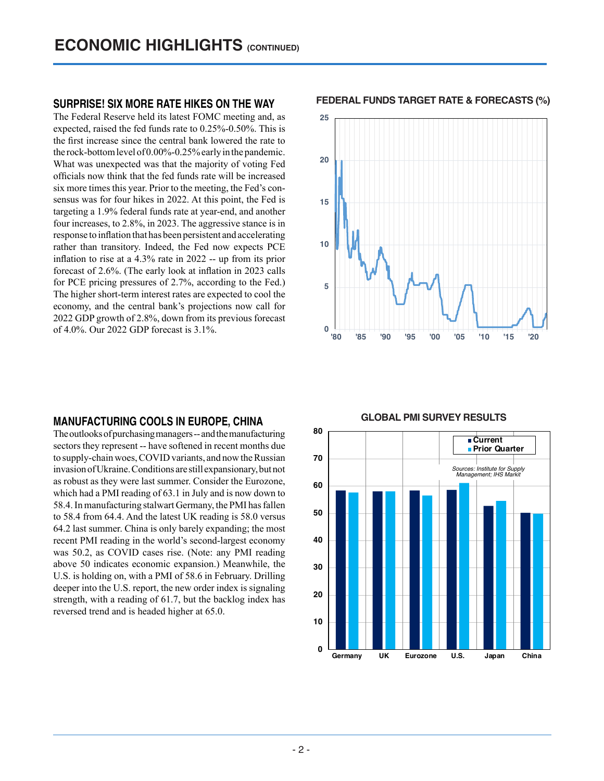### **SURPRISE! SIX MORE RATE HIKES ON THE WAY**

The Federal Reserve held its latest FOMC meeting and, as expected, raised the fed funds rate to 0.25%-0.50%. This is the first increase since the central bank lowered the rate to the rock-bottom level of 0.00%-0.25% early in the pandemic. What was unexpected was that the majority of voting Fed officials now think that the fed funds rate will be increased six more times this year. Prior to the meeting, the Fed's consensus was for four hikes in 2022. At this point, the Fed is targeting a 1.9% federal funds rate at year-end, and another four increases, to 2.8%, in 2023. The aggressive stance is in response to inflation that has been persistent and accelerating rather than transitory. Indeed, the Fed now expects PCE inflation to rise at a 4.3% rate in 2022 -- up from its prior forecast of 2.6%. (The early look at inflation in 2023 calls for PCE pricing pressures of 2.7%, according to the Fed.) The higher short-term interest rates are expected to cool the economy, and the central bank's projections now call for 2022 GDP growth of 2.8%, down from its previous forecast of 4.0%. Our 2022 GDP forecast is 3.1%.

## **MANUFACTURING COOLS IN EUROPE, CHINA**

The outlooks of purchasing managers -- and the manufacturing sectors they represent -- have softened in recent months due to supply-chain woes, COVID variants, and now the Russian invasion of Ukraine. Conditions are still expansionary, but not as robust as they were last summer. Consider the Eurozone, which had a PMI reading of 63.1 in July and is now down to 58.4. In manufacturing stalwart Germany, the PMI has fallen to 58.4 from 64.4. And the latest UK reading is 58.0 versus 64.2 last summer. China is only barely expanding; the most recent PMI reading in the world's second-largest economy was 50.2, as COVID cases rise. (Note: any PMI reading above 50 indicates economic expansion.) Meanwhile, the U.S. is holding on, with a PMI of 58.6 in February. Drilling deeper into the U.S. report, the new order index is signaling strength, with a reading of 61.7, but the backlog index has reversed trend and is headed higher at 65.0.

**FEDERAL FUNDS TARGET RATE & FORECASTS (%) FEDERAL FUNDS TARGET RATE & FORECASTS (%)**





## **GLOBAL PMI SURVEY RESULTS GLOBAL PMI SURVEY RESULTS**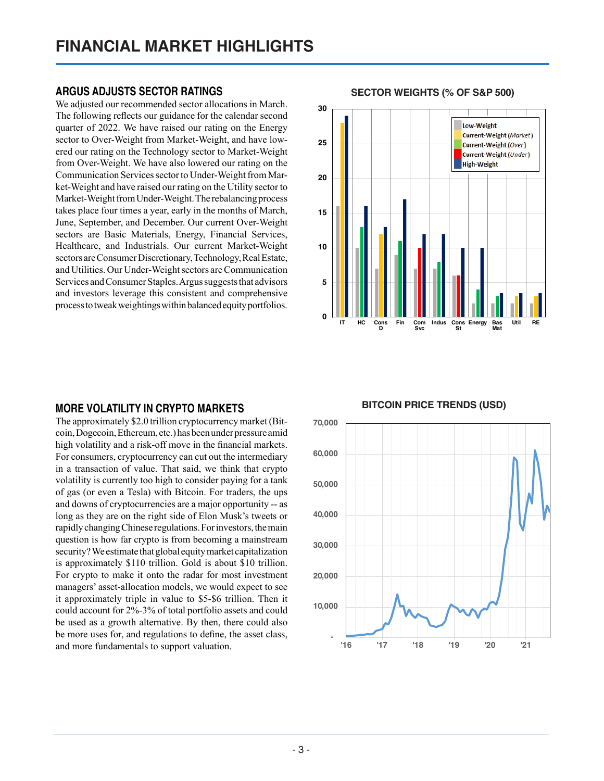## **ARGUS ADJUSTS SECTOR RATINGS**

We adjusted our recommended sector allocations in March. The following reflects our guidance for the calendar second quarter of 2022. We have raised our rating on the Energy sector to Over-Weight from Market-Weight, and have lowered our rating on the Technology sector to Market-Weight from Over-Weight. We have also lowered our rating on the Communication Services sector to Under-Weight from Market-Weight and have raised our rating on the Utility sector to Market-Weight from Under-Weight. The rebalancing process takes place four times a year, early in the months of March, June, September, and December. Our current Over-Weight sectors are Basic Materials, Energy, Financial Services, Healthcare, and Industrials. Our current Market-Weight sectors are Consumer Discretionary, Technology, Real Estate, and Utilities. Our Under-Weight sectors are Communication Services and Consumer Staples. Argus suggests that advisors and investors leverage this consistent and comprehensive process to tweak weightings within balanced equity portfolios.

## **MORE VOLATILITY IN CRYPTO MARKETS**

The approximately \$2.0 trillion cryptocurrency market (Bitcoin, Dogecoin, Ethereum, etc.) has been under pressure amid high volatility and a risk-off move in the financial markets. For consumers, cryptocurrency can cut out the intermediary in a transaction of value. That said, we think that crypto volatility is currently too high to consider paying for a tank of gas (or even a Tesla) with Bitcoin. For traders, the ups and downs of cryptocurrencies are a major opportunity -- as long as they are on the right side of Elon Musk's tweets or rapidly changing Chinese regulations. For investors, the main question is how far crypto is from becoming a mainstream security? We estimate that global equity market capitalization is approximately \$110 trillion. Gold is about \$10 trillion. For crypto to make it onto the radar for most investment managers' asset-allocation models, we would expect to see it approximately triple in value to \$5-\$6 trillion. Then it could account for 2%-3% of total portfolio assets and could be used as a growth alternative. By then, there could also be more uses for, and regulations to define, the asset class, and more fundamentals to support valuation.

**30** Low-Weight Current-Weight (Market) **25** Current-Weight (Over) Current-Weight (Under) **High-Weight 20 15 10 5 0 IT HC Cons <sup>D</sup> Fin Com Svc Indus Cons St Energy Bas Mat Util RE**

### **SECTOR WEIGHTS (% OF S&P 500) SECTOR WEIGHTS (% of S&P 500)**

 **- 10,000 20,000 30,000 40,000 50,000 60,000 70,000 '16 '17 '18 '19 '20 '21**

## **BITCOIN PRICE TRENDS (USD) BITCOIN PRICE TRENDS (USD)**